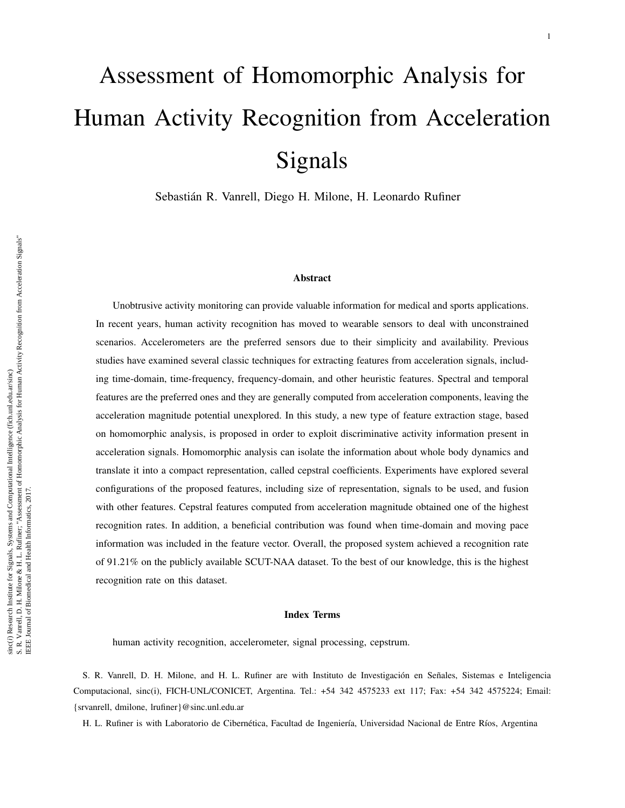# Assessment of Homomorphic Analysis for Human Activity Recognition from Acceleration Signals

Sebastián R. Vanrell, Diego H. Milone, H. Leonardo Rufiner

# Abstract

Unobtrusive activity monitoring can provide valuable information for medical and sports applications. In recent years, human activity recognition has moved to wearable sensors to deal with unconstrained scenarios. Accelerometers are the preferred sensors due to their simplicity and availability. Previous studies have examined several classic techniques for extracting features from acceleration signals, including time-domain, time-frequency, frequency-domain, and other heuristic features. Spectral and temporal features are the preferred ones and they are generally computed from acceleration components, leaving the acceleration magnitude potential unexplored. In this study, a new type of feature extraction stage, based on homomorphic analysis, is proposed in order to exploit discriminative activity information present in acceleration signals. Homomorphic analysis can isolate the information about whole body dynamics and translate it into a compact representation, called cepstral coefficients. Experiments have explored several configurations of the proposed features, including size of representation, signals to be used, and fusion with other features. Cepstral features computed from acceleration magnitude obtained one of the highest recognition rates. In addition, a beneficial contribution was found when time-domain and moving pace information was included in the feature vector. Overall, the proposed system achieved a recognition rate of 91.21% on the publicly available SCUT-NAA dataset. To the best of our knowledge, this is the highest recognition rate on this dataset.

#### Index Terms

human activity recognition, accelerometer, signal processing, cepstrum.

S. R. Vanrell, D. H. Milone, and H. L. Rufiner are with Instituto de Investigación en Señales, Sistemas e Inteligencia Computacional, sinc(i), FICH-UNL/CONICET, Argentina. Tel.: +54 342 4575233 ext 117; Fax: +54 342 4575224; Email: {srvanrell, dmilone, lrufiner}@sinc.unl.edu.ar

H. L. Rufiner is with Laboratorio de Cibernética, Facultad de Ingeniería, Universidad Nacional de Entre Ríos, Argentina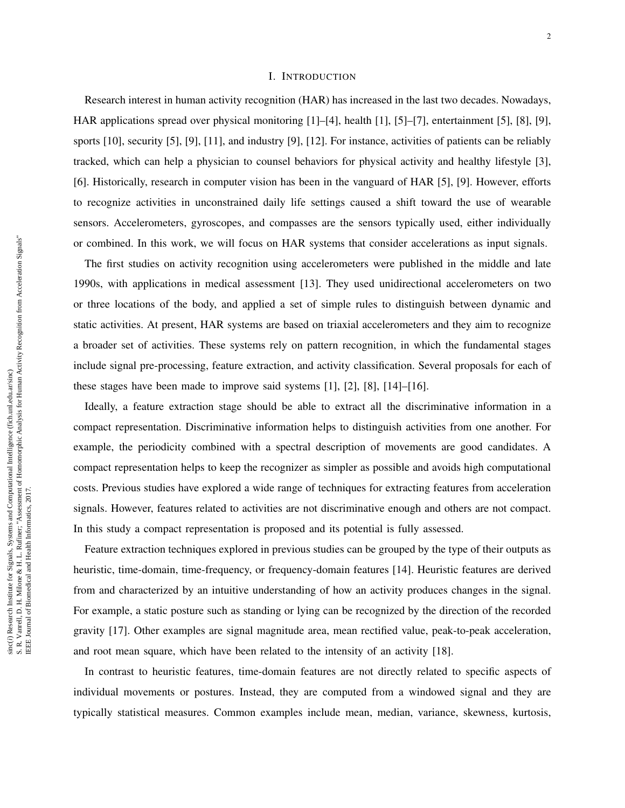# I. INTRODUCTION

Research interest in human activity recognition (HAR) has increased in the last two decades. Nowadays, HAR applications spread over physical monitoring [1]–[4], health [1], [5]–[7], entertainment [5], [8], [9], sports [10], security [5], [9], [11], and industry [9], [12]. For instance, activities of patients can be reliably tracked, which can help a physician to counsel behaviors for physical activity and healthy lifestyle [3], [6]. Historically, research in computer vision has been in the vanguard of HAR [5], [9]. However, efforts to recognize activities in unconstrained daily life settings caused a shift toward the use of wearable sensors. Accelerometers, gyroscopes, and compasses are the sensors typically used, either individually or combined. In this work, we will focus on HAR systems that consider accelerations as input signals.

The first studies on activity recognition using accelerometers were published in the middle and late 1990s, with applications in medical assessment [13]. They used unidirectional accelerometers on two or three locations of the body, and applied a set of simple rules to distinguish between dynamic and static activities. At present, HAR systems are based on triaxial accelerometers and they aim to recognize a broader set of activities. These systems rely on pattern recognition, in which the fundamental stages include signal pre-processing, feature extraction, and activity classification. Several proposals for each of these stages have been made to improve said systems [1], [2], [8], [14]–[16].

Ideally, a feature extraction stage should be able to extract all the discriminative information in a compact representation. Discriminative information helps to distinguish activities from one another. For example, the periodicity combined with a spectral description of movements are good candidates. A compact representation helps to keep the recognizer as simpler as possible and avoids high computational costs. Previous studies have explored a wide range of techniques for extracting features from acceleration signals. However, features related to activities are not discriminative enough and others are not compact. In this study a compact representation is proposed and its potential is fully assessed.

Feature extraction techniques explored in previous studies can be grouped by the type of their outputs as heuristic, time-domain, time-frequency, or frequency-domain features [14]. Heuristic features are derived from and characterized by an intuitive understanding of how an activity produces changes in the signal. For example, a static posture such as standing or lying can be recognized by the direction of the recorded gravity [17]. Other examples are signal magnitude area, mean rectified value, peak-to-peak acceleration, and root mean square, which have been related to the intensity of an activity [18].

In contrast to heuristic features, time-domain features are not directly related to specific aspects of individual movements or postures. Instead, they are computed from a windowed signal and they are typically statistical measures. Common examples include mean, median, variance, skewness, kurtosis,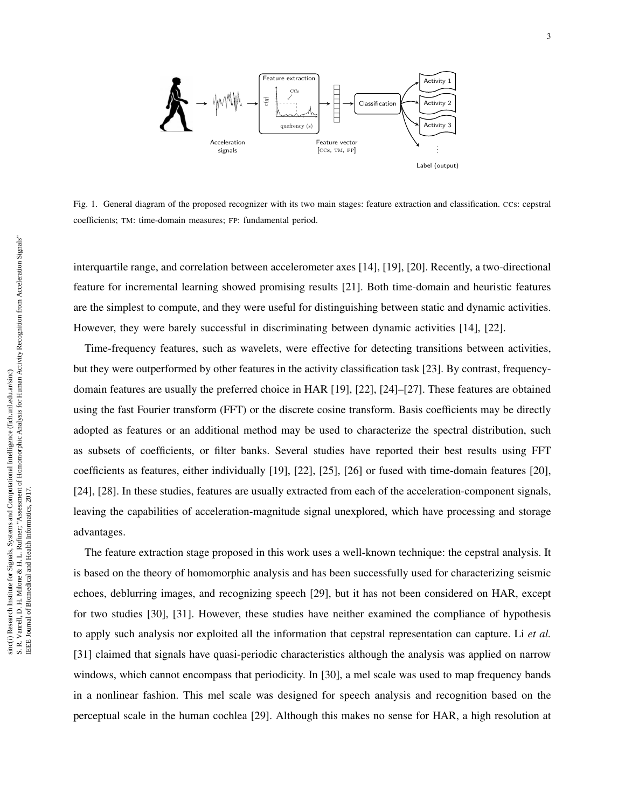

Fig. 1. General diagram of the proposed recognizer with its two main stages: feature extraction and classification. CCs: cepstral coefficients; TM: time-domain measures; FP: fundamental period.

interquartile range, and correlation between accelerometer axes [14], [19], [20]. Recently, a two-directional feature for incremental learning showed promising results [21]. Both time-domain and heuristic features are the simplest to compute, and they were useful for distinguishing between static and dynamic activities. However, they were barely successful in discriminating between dynamic activities [14], [22].

Time-frequency features, such as wavelets, were effective for detecting transitions between activities, but they were outperformed by other features in the activity classification task [23]. By contrast, frequencydomain features are usually the preferred choice in HAR [19], [22], [24]–[27]. These features are obtained using the fast Fourier transform (FFT) or the discrete cosine transform. Basis coefficients may be directly adopted as features or an additional method may be used to characterize the spectral distribution, such as subsets of coefficients, or filter banks. Several studies have reported their best results using FFT coefficients as features, either individually [19], [22], [25], [26] or fused with time-domain features [20], [24], [28]. In these studies, features are usually extracted from each of the acceleration-component signals, leaving the capabilities of acceleration-magnitude signal unexplored, which have processing and storage advantages.

The feature extraction stage proposed in this work uses a well-known technique: the cepstral analysis. It is based on the theory of homomorphic analysis and has been successfully used for characterizing seismic echoes, deblurring images, and recognizing speech [29], but it has not been considered on HAR, except for two studies [30], [31]. However, these studies have neither examined the compliance of hypothesis to apply such analysis nor exploited all the information that cepstral representation can capture. Li *et al.* [31] claimed that signals have quasi-periodic characteristics although the analysis was applied on narrow windows, which cannot encompass that periodicity. In [30], a mel scale was used to map frequency bands in a nonlinear fashion. This mel scale was designed for speech analysis and recognition based on the perceptual scale in the human cochlea [29]. Although this makes no sense for HAR, a high resolution at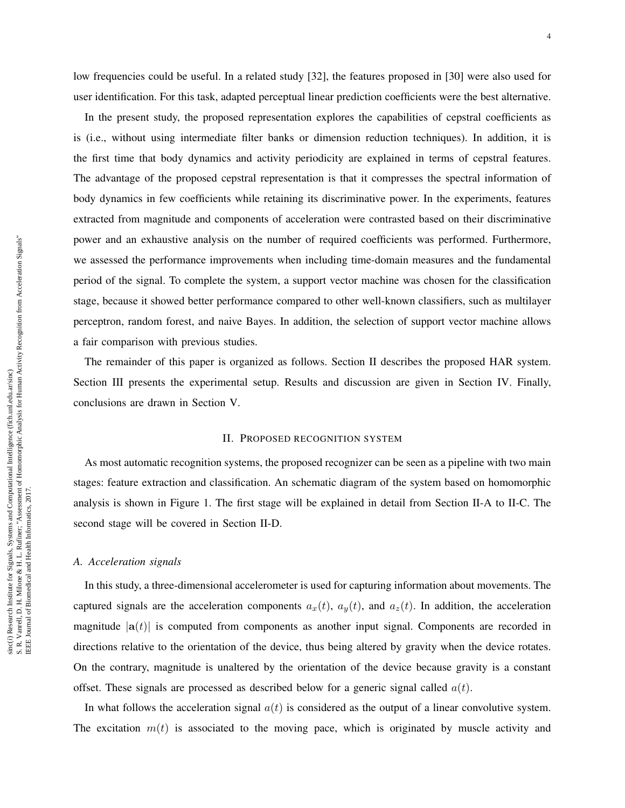low frequencies could be useful. In a related study [32], the features proposed in [30] were also used for user identification. For this task, adapted perceptual linear prediction coefficients were the best alternative.

In the present study, the proposed representation explores the capabilities of cepstral coefficients as is (i.e., without using intermediate filter banks or dimension reduction techniques). In addition, it is the first time that body dynamics and activity periodicity are explained in terms of cepstral features. The advantage of the proposed cepstral representation is that it compresses the spectral information of body dynamics in few coefficients while retaining its discriminative power. In the experiments, features extracted from magnitude and components of acceleration were contrasted based on their discriminative power and an exhaustive analysis on the number of required coefficients was performed. Furthermore, we assessed the performance improvements when including time-domain measures and the fundamental period of the signal. To complete the system, a support vector machine was chosen for the classification stage, because it showed better performance compared to other well-known classifiers, such as multilayer perceptron, random forest, and naive Bayes. In addition, the selection of support vector machine allows a fair comparison with previous studies.

The remainder of this paper is organized as follows. Section II describes the proposed HAR system. Section III presents the experimental setup. Results and discussion are given in Section IV. Finally, conclusions are drawn in Section V.

# II. PROPOSED RECOGNITION SYSTEM

As most automatic recognition systems, the proposed recognizer can be seen as a pipeline with two main stages: feature extraction and classification. An schematic diagram of the system based on homomorphic analysis is shown in Figure 1. The first stage will be explained in detail from Section II-A to II-C. The second stage will be covered in Section II-D.

#### *A. Acceleration signals*

In this study, a three-dimensional accelerometer is used for capturing information about movements. The captured signals are the acceleration components  $a_x(t)$ ,  $a_y(t)$ , and  $a_z(t)$ . In addition, the acceleration magnitude  $|a(t)|$  is computed from components as another input signal. Components are recorded in directions relative to the orientation of the device, thus being altered by gravity when the device rotates. On the contrary, magnitude is unaltered by the orientation of the device because gravity is a constant offset. These signals are processed as described below for a generic signal called  $a(t)$ .

In what follows the acceleration signal  $a(t)$  is considered as the output of a linear convolutive system. The excitation  $m(t)$  is associated to the moving pace, which is originated by muscle activity and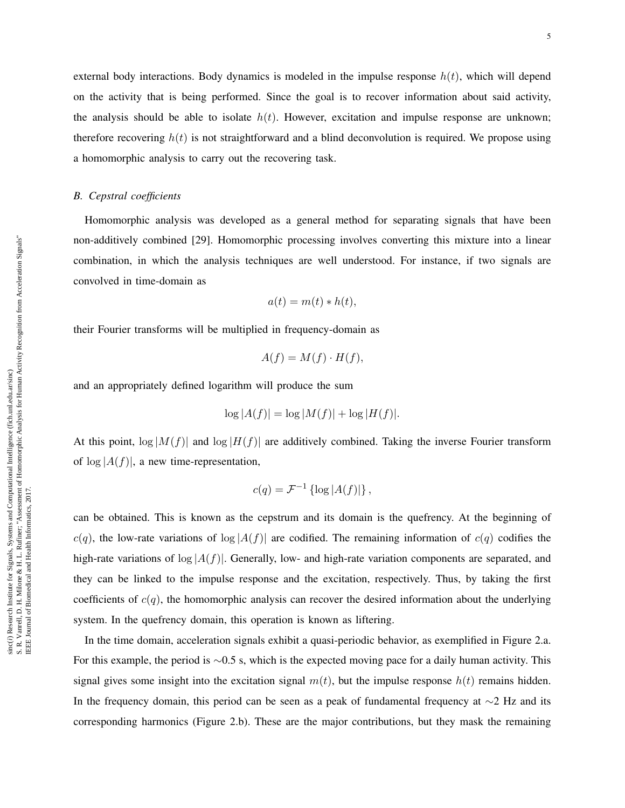external body interactions. Body dynamics is modeled in the impulse response  $h(t)$ , which will depend on the activity that is being performed. Since the goal is to recover information about said activity, the analysis should be able to isolate  $h(t)$ . However, excitation and impulse response are unknown; therefore recovering  $h(t)$  is not straightforward and a blind deconvolution is required. We propose using a homomorphic analysis to carry out the recovering task.

# *B. Cepstral coefficients*

Homomorphic analysis was developed as a general method for separating signals that have been non-additively combined [29]. Homomorphic processing involves converting this mixture into a linear combination, in which the analysis techniques are well understood. For instance, if two signals are convolved in time-domain as

$$
a(t) = m(t) * h(t),
$$

their Fourier transforms will be multiplied in frequency-domain as

$$
A(f) = M(f) \cdot H(f),
$$

and an appropriately defined logarithm will produce the sum

$$
\log |A(f)| = \log |M(f)| + \log |H(f)|.
$$

At this point,  $\log|M(f)|$  and  $\log|H(f)|$  are additively combined. Taking the inverse Fourier transform of  $\log |A(f)|$ , a new time-representation,

$$
c(q) = \mathcal{F}^{-1}\left\{ \log |A(f)| \right\},\,
$$

can be obtained. This is known as the cepstrum and its domain is the quefrency. At the beginning of  $c(q)$ , the low-rate variations of  $log|A(f)|$  are codified. The remaining information of  $c(q)$  codifies the high-rate variations of  $\log |A(f)|$ . Generally, low- and high-rate variation components are separated, and they can be linked to the impulse response and the excitation, respectively. Thus, by taking the first coefficients of  $c(q)$ , the homomorphic analysis can recover the desired information about the underlying system. In the quefrency domain, this operation is known as liftering.

In the time domain, acceleration signals exhibit a quasi-periodic behavior, as exemplified in Figure 2.a. For this example, the period is ∼0.5 s, which is the expected moving pace for a daily human activity. This signal gives some insight into the excitation signal  $m(t)$ , but the impulse response  $h(t)$  remains hidden. In the frequency domain, this period can be seen as a peak of fundamental frequency at ∼2 Hz and its corresponding harmonics (Figure 2.b). These are the major contributions, but they mask the remaining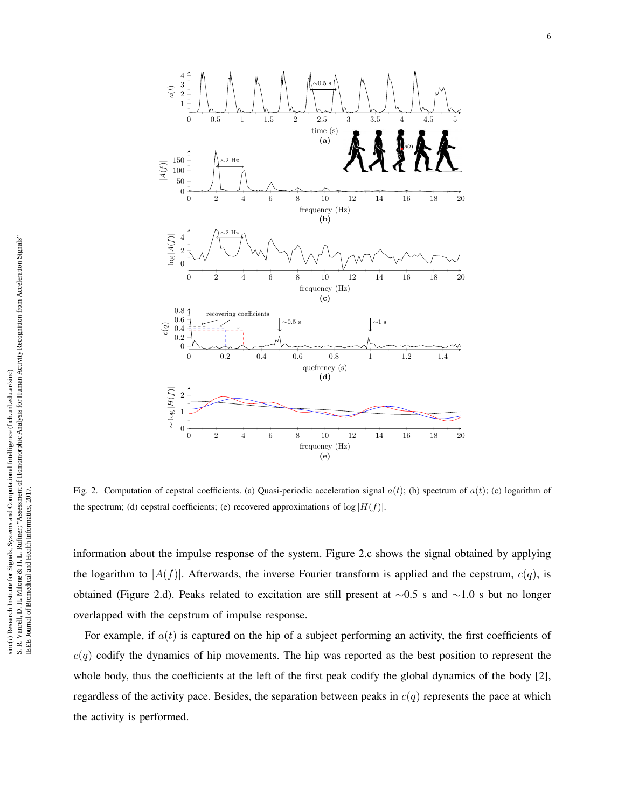

Fig. 2. Computation of cepstral coefficients. (a) Quasi-periodic acceleration signal  $a(t)$ ; (b) spectrum of  $a(t)$ ; (c) logarithm of the spectrum; (d) cepstral coefficients; (e) recovered approximations of  $\log |H(f)|$ .

information about the impulse response of the system. Figure 2.c shows the signal obtained by applying the logarithm to  $|A(f)|$ . Afterwards, the inverse Fourier transform is applied and the cepstrum,  $c(q)$ , is obtained (Figure 2.d). Peaks related to excitation are still present at ∼0.5 s and ∼1.0 s but no longer overlapped with the cepstrum of impulse response.

For example, if  $a(t)$  is captured on the hip of a subject performing an activity, the first coefficients of  $c(q)$  codify the dynamics of hip movements. The hip was reported as the best position to represent the whole body, thus the coefficients at the left of the first peak codify the global dynamics of the body [2], regardless of the activity pace. Besides, the separation between peaks in  $c(q)$  represents the pace at which the activity is performed.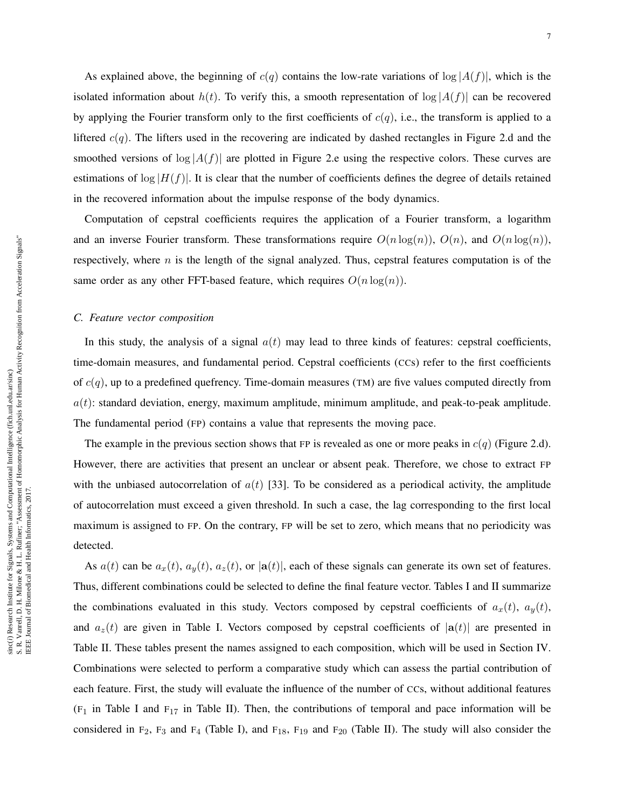As explained above, the beginning of  $c(q)$  contains the low-rate variations of  $log|A(f)|$ , which is the isolated information about  $h(t)$ . To verify this, a smooth representation of  $\log |A(f)|$  can be recovered by applying the Fourier transform only to the first coefficients of  $c(q)$ , i.e., the transform is applied to a liftered  $c(q)$ . The lifters used in the recovering are indicated by dashed rectangles in Figure 2.d and the smoothed versions of  $\log |A(f)|$  are plotted in Figure 2.e using the respective colors. These curves are estimations of  $\log |H(f)|$ . It is clear that the number of coefficients defines the degree of details retained in the recovered information about the impulse response of the body dynamics.

Computation of cepstral coefficients requires the application of a Fourier transform, a logarithm and an inverse Fourier transform. These transformations require  $O(n \log(n))$ ,  $O(n)$ , and  $O(n \log(n))$ , respectively, where  $n$  is the length of the signal analyzed. Thus, cepstral features computation is of the same order as any other FFT-based feature, which requires  $O(n \log(n))$ .

#### *C. Feature vector composition*

In this study, the analysis of a signal  $a(t)$  may lead to three kinds of features: cepstral coefficients, time-domain measures, and fundamental period. Cepstral coefficients (CCs) refer to the first coefficients of  $c(q)$ , up to a predefined quefrency. Time-domain measures (TM) are five values computed directly from  $a(t)$ : standard deviation, energy, maximum amplitude, minimum amplitude, and peak-to-peak amplitude. The fundamental period (FP) contains a value that represents the moving pace.

The example in the previous section shows that FP is revealed as one or more peaks in  $c(q)$  (Figure 2.d). However, there are activities that present an unclear or absent peak. Therefore, we chose to extract FP with the unbiased autocorrelation of  $a(t)$  [33]. To be considered as a periodical activity, the amplitude of autocorrelation must exceed a given threshold. In such a case, the lag corresponding to the first local maximum is assigned to FP. On the contrary, FP will be set to zero, which means that no periodicity was detected.

As  $a(t)$  can be  $a_x(t)$ ,  $a_y(t)$ ,  $a_z(t)$ , or  $|a(t)|$ , each of these signals can generate its own set of features. Thus, different combinations could be selected to define the final feature vector. Tables I and II summarize the combinations evaluated in this study. Vectors composed by cepstral coefficients of  $a_x(t)$ ,  $a_y(t)$ , and  $a_z(t)$  are given in Table I. Vectors composed by cepstral coefficients of  $|a(t)|$  are presented in Table II. These tables present the names assigned to each composition, which will be used in Section IV. Combinations were selected to perform a comparative study which can assess the partial contribution of each feature. First, the study will evaluate the influence of the number of CCs, without additional features  $(F_1$  in Table I and  $F_{17}$  in Table II). Then, the contributions of temporal and pace information will be considered in  $F_2$ ,  $F_3$  and  $F_4$  (Table I), and  $F_{18}$ ,  $F_{19}$  and  $F_{20}$  (Table II). The study will also consider the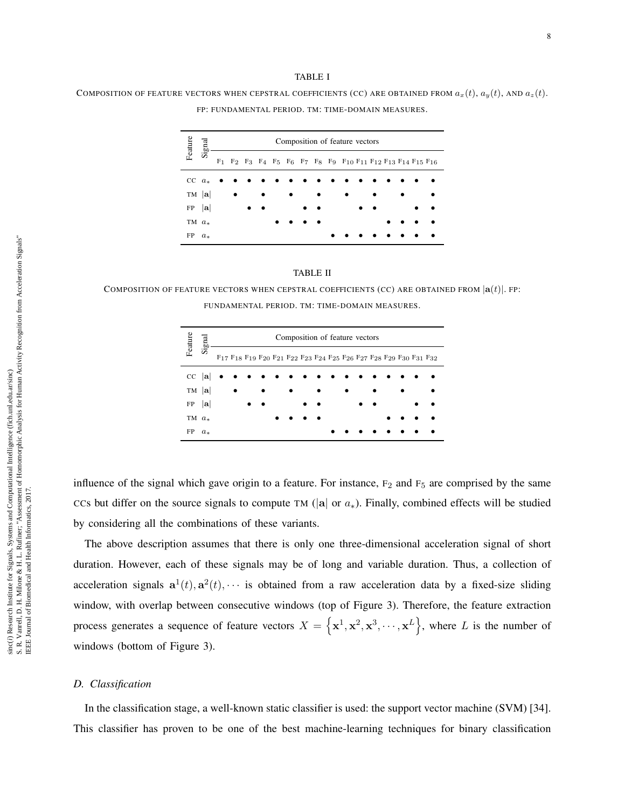#### TABLE I

COMPOSITION OF FEATURE VECTORS WHEN CEPSTRAL COEFFICIENTS (CC) ARE OBTAINED FROM  $a_x(t)$ ,  $a_y(t)$ , AND  $a_z(t)$ . FP: FUNDAMENTAL PERIOD. TM: TIME-DOMAIN MEASURES.

| Feature  | Signal      |           |           |           |   |           |           | Composition of feature vectors |  |           |           |                                                        |
|----------|-------------|-----------|-----------|-----------|---|-----------|-----------|--------------------------------|--|-----------|-----------|--------------------------------------------------------|
|          |             |           |           |           |   |           |           |                                |  |           |           | F1 F2 F3 F4 F5 F6 F7 F8 F9 F10 F11 F12 F13 F14 F15 F16 |
|          | $CC \, a_*$ | $\bullet$ |           |           |   |           |           |                                |  |           |           |                                                        |
|          | $TM$  a     |           |           | $\bullet$ | ٠ | $\bullet$ | $\bullet$ |                                |  | $\bullet$ |           |                                                        |
| FP       | $ {\bf a} $ |           | $\bullet$ |           |   |           |           |                                |  |           | $\bullet$ |                                                        |
| TM $a_*$ |             |           |           |           |   |           |           |                                |  |           |           |                                                        |
| FP       | $a_{*}$     |           |           |           |   |           |           |                                |  |           |           |                                                        |

#### TABLE II

COMPOSITION OF FEATURE VECTORS WHEN CEPSTRAL COEFFICIENTS (CC) ARE OBTAINED FROM  $|a(t)|$ . FP: FUNDAMENTAL PERIOD. TM: TIME-DOMAIN MEASURES.

| Feature  |            | Composition of feature vectors |  |  |           |  |           |           |           |  |           |  |           |           |                                                                 |
|----------|------------|--------------------------------|--|--|-----------|--|-----------|-----------|-----------|--|-----------|--|-----------|-----------|-----------------------------------------------------------------|
|          | Sign       |                                |  |  |           |  |           |           |           |  |           |  |           |           | F17 F18 F19 F20 F21 F22 F23 F24 F25 F26 F27 F28 F29 F30 F31 F32 |
|          | $CC$ $ a $ |                                |  |  |           |  |           |           |           |  |           |  |           |           |                                                                 |
|          | $TM$  a    |                                |  |  | $\bullet$ |  | $\bullet$ |           | $\bullet$ |  | $\bullet$ |  | $\bullet$ | $\bullet$ |                                                                 |
| FP  a    |            |                                |  |  | $\bullet$ |  |           | $\bullet$ |           |  |           |  |           |           |                                                                 |
| TM $a_*$ |            |                                |  |  |           |  |           |           |           |  |           |  |           |           |                                                                 |
| FP       | $a_{*}$    |                                |  |  |           |  |           |           |           |  |           |  |           |           |                                                                 |

influence of the signal which gave origin to a feature. For instance,  $F_2$  and  $F_5$  are comprised by the same CCs but differ on the source signals to compute TM ( $|a|$  or  $a_*$ ). Finally, combined effects will be studied by considering all the combinations of these variants.

The above description assumes that there is only one three-dimensional acceleration signal of short duration. However, each of these signals may be of long and variable duration. Thus, a collection of acceleration signals  $\mathbf{a}^1(t)$ ,  $\mathbf{a}^2(t)$ ,  $\cdots$  is obtained from a raw acceleration data by a fixed-size sliding window, with overlap between consecutive windows (top of Figure 3). Therefore, the feature extraction process generates a sequence of feature vectors  $X = \left\{ \mathbf{x}^1, \mathbf{x}^2, \mathbf{x}^3, \cdots, \mathbf{x}^L \right\}$ , where L is the number of windows (bottom of Figure 3).

# *D. Classification*

In the classification stage, a well-known static classifier is used: the support vector machine (SVM) [34]. This classifier has proven to be one of the best machine-learning techniques for binary classification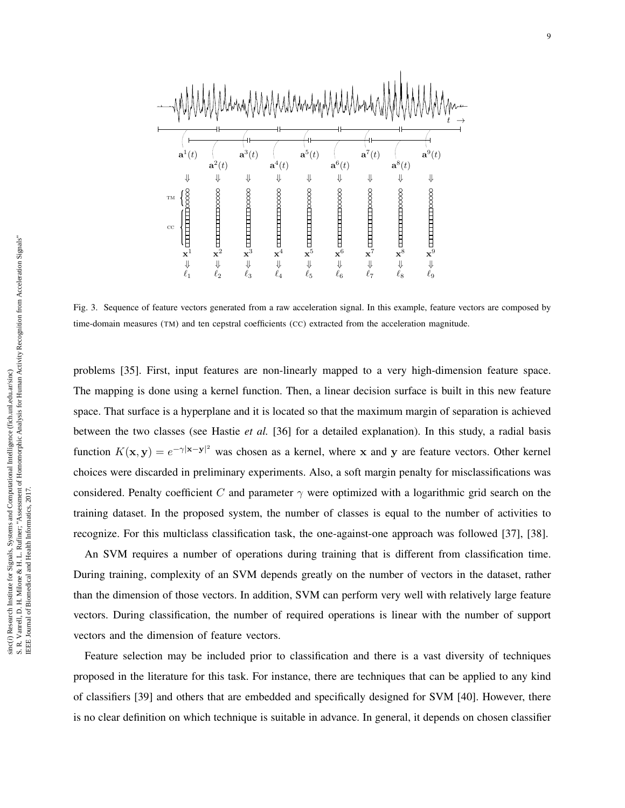

Fig. 3. Sequence of feature vectors generated from a raw acceleration signal. In this example, feature vectors are composed by time-domain measures (TM) and ten cepstral coefficients (CC) extracted from the acceleration magnitude.

problems [35]. First, input features are non-linearly mapped to a very high-dimension feature space. The mapping is done using a kernel function. Then, a linear decision surface is built in this new feature space. That surface is a hyperplane and it is located so that the maximum margin of separation is achieved between the two classes (see Hastie *et al.* [36] for a detailed explanation). In this study, a radial basis function  $K(\mathbf{x}, \mathbf{y}) = e^{-\gamma |\mathbf{x} - \mathbf{y}|^2}$  was chosen as a kernel, where x and y are feature vectors. Other kernel choices were discarded in preliminary experiments. Also, a soft margin penalty for misclassifications was considered. Penalty coefficient C and parameter  $\gamma$  were optimized with a logarithmic grid search on the training dataset. In the proposed system, the number of classes is equal to the number of activities to recognize. For this multiclass classification task, the one-against-one approach was followed [37], [38].

An SVM requires a number of operations during training that is different from classification time. During training, complexity of an SVM depends greatly on the number of vectors in the dataset, rather than the dimension of those vectors. In addition, SVM can perform very well with relatively large feature vectors. During classification, the number of required operations is linear with the number of support vectors and the dimension of feature vectors.

Feature selection may be included prior to classification and there is a vast diversity of techniques proposed in the literature for this task. For instance, there are techniques that can be applied to any kind of classifiers [39] and others that are embedded and specifically designed for SVM [40]. However, there is no clear definition on which technique is suitable in advance. In general, it depends on chosen classifier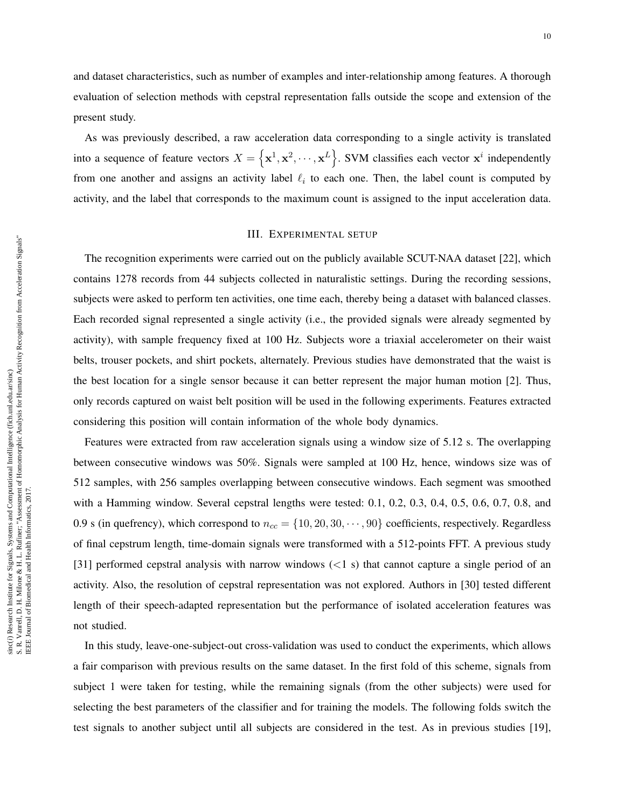and dataset characteristics, such as number of examples and inter-relationship among features. A thorough evaluation of selection methods with cepstral representation falls outside the scope and extension of the present study.

As was previously described, a raw acceleration data corresponding to a single activity is translated into a sequence of feature vectors  $X = \{x^1, x^2, \dots, x^L\}$ . SVM classifies each vector  $x^i$  independently from one another and assigns an activity label  $\ell_i$  to each one. Then, the label count is computed by activity, and the label that corresponds to the maximum count is assigned to the input acceleration data.

# III. EXPERIMENTAL SETUP

The recognition experiments were carried out on the publicly available SCUT-NAA dataset [22], which contains 1278 records from 44 subjects collected in naturalistic settings. During the recording sessions, subjects were asked to perform ten activities, one time each, thereby being a dataset with balanced classes. Each recorded signal represented a single activity (i.e., the provided signals were already segmented by activity), with sample frequency fixed at 100 Hz. Subjects wore a triaxial accelerometer on their waist belts, trouser pockets, and shirt pockets, alternately. Previous studies have demonstrated that the waist is the best location for a single sensor because it can better represent the major human motion [2]. Thus, only records captured on waist belt position will be used in the following experiments. Features extracted considering this position will contain information of the whole body dynamics.

Features were extracted from raw acceleration signals using a window size of 5.12 s. The overlapping between consecutive windows was 50%. Signals were sampled at 100 Hz, hence, windows size was of 512 samples, with 256 samples overlapping between consecutive windows. Each segment was smoothed with a Hamming window. Several cepstral lengths were tested: 0.1, 0.2, 0.3, 0.4, 0.5, 0.6, 0.7, 0.8, and 0.9 s (in quefrency), which correspond to  $n_{cc} = \{10, 20, 30, \dots, 90\}$  coefficients, respectively. Regardless of final cepstrum length, time-domain signals were transformed with a 512-points FFT. A previous study [31] performed cepstral analysis with narrow windows  $\ll 1$  s) that cannot capture a single period of an activity. Also, the resolution of cepstral representation was not explored. Authors in [30] tested different length of their speech-adapted representation but the performance of isolated acceleration features was not studied.

In this study, leave-one-subject-out cross-validation was used to conduct the experiments, which allows a fair comparison with previous results on the same dataset. In the first fold of this scheme, signals from subject 1 were taken for testing, while the remaining signals (from the other subjects) were used for selecting the best parameters of the classifier and for training the models. The following folds switch the test signals to another subject until all subjects are considered in the test. As in previous studies [19],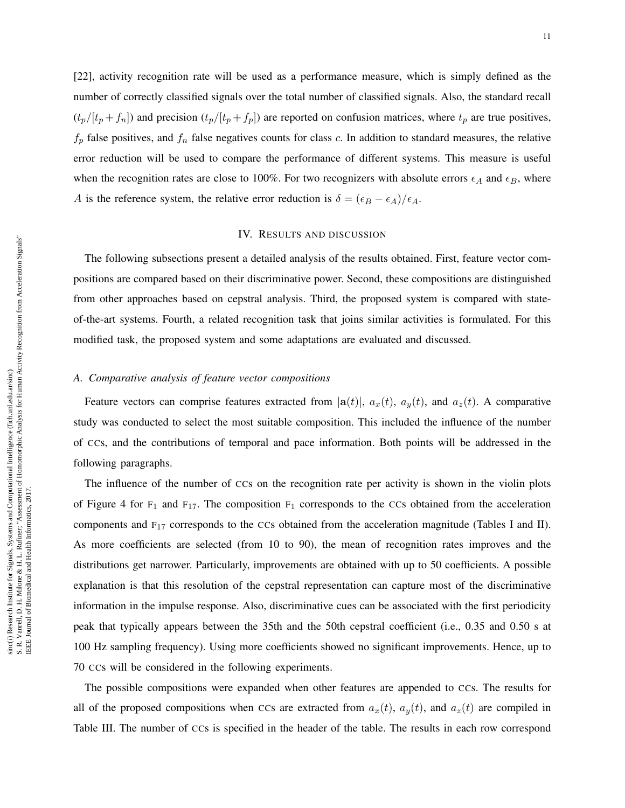[22], activity recognition rate will be used as a performance measure, which is simply defined as the number of correctly classified signals over the total number of classified signals. Also, the standard recall  $(t_p/[t_p + f_n])$  and precision  $(t_p/[t_p + f_p])$  are reported on confusion matrices, where  $t_p$  are true positives,  $f_p$  false positives, and  $f_n$  false negatives counts for class c. In addition to standard measures, the relative error reduction will be used to compare the performance of different systems. This measure is useful when the recognition rates are close to 100%. For two recognizers with absolute errors  $\epsilon_A$  and  $\epsilon_B$ , where A is the reference system, the relative error reduction is  $\delta = (\epsilon_B - \epsilon_A)/\epsilon_A$ .

# IV. RESULTS AND DISCUSSION

The following subsections present a detailed analysis of the results obtained. First, feature vector compositions are compared based on their discriminative power. Second, these compositions are distinguished from other approaches based on cepstral analysis. Third, the proposed system is compared with stateof-the-art systems. Fourth, a related recognition task that joins similar activities is formulated. For this modified task, the proposed system and some adaptations are evaluated and discussed.

# *A. Comparative analysis of feature vector compositions*

Feature vectors can comprise features extracted from  $|\mathbf{a}(t)|$ ,  $a_x(t)$ ,  $a_y(t)$ , and  $a_z(t)$ . A comparative study was conducted to select the most suitable composition. This included the influence of the number of CCs, and the contributions of temporal and pace information. Both points will be addressed in the following paragraphs.

The influence of the number of CCs on the recognition rate per activity is shown in the violin plots of Figure 4 for  $F_1$  and  $F_{17}$ . The composition  $F_1$  corresponds to the CCs obtained from the acceleration components and F<sup>17</sup> corresponds to the CCs obtained from the acceleration magnitude (Tables I and II). As more coefficients are selected (from 10 to 90), the mean of recognition rates improves and the distributions get narrower. Particularly, improvements are obtained with up to 50 coefficients. A possible explanation is that this resolution of the cepstral representation can capture most of the discriminative information in the impulse response. Also, discriminative cues can be associated with the first periodicity peak that typically appears between the 35th and the 50th cepstral coefficient (i.e., 0.35 and 0.50 s at 100 Hz sampling frequency). Using more coefficients showed no significant improvements. Hence, up to 70 CCs will be considered in the following experiments.

The possible compositions were expanded when other features are appended to CCs. The results for all of the proposed compositions when CCs are extracted from  $a_x(t)$ ,  $a_y(t)$ , and  $a_z(t)$  are compiled in Table III. The number of CCs is specified in the header of the table. The results in each row correspond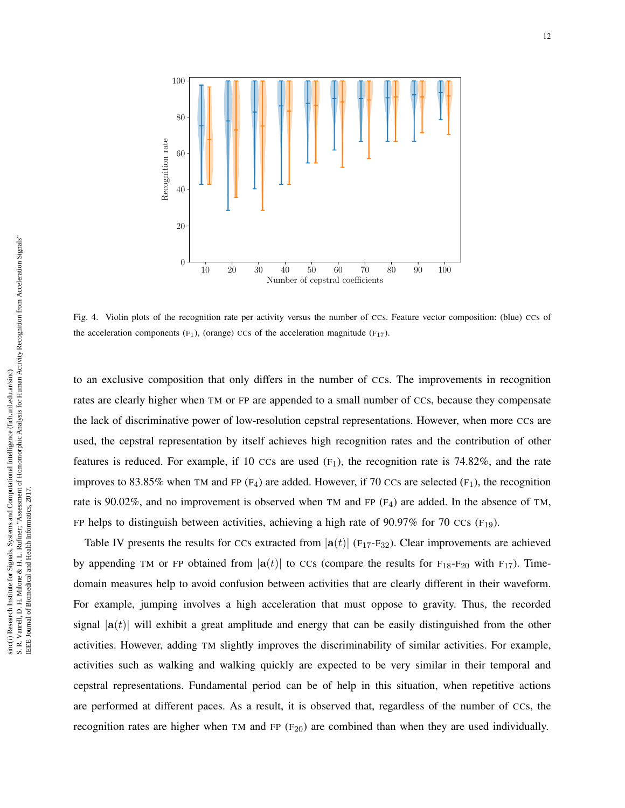

Fig. 4. Violin plots of the recognition rate per activity versus the number of CCs. Feature vector composition: (blue) CCs of the acceleration components  $(F_1)$ , (orange) CCs of the acceleration magnitude  $(F_{17})$ .

to an exclusive composition that only differs in the number of CCs. The improvements in recognition rates are clearly higher when TM or FP are appended to a small number of CCs, because they compensate the lack of discriminative power of low-resolution cepstral representations. However, when more CCs are used, the cepstral representation by itself achieves high recognition rates and the contribution of other features is reduced. For example, if 10 CCs are used  $(F_1)$ , the recognition rate is 74.82%, and the rate improves to 83.85% when TM and FP (F<sub>4</sub>) are added. However, if 70 CCs are selected (F<sub>1</sub>), the recognition rate is 90.02%, and no improvement is observed when TM and FP  $(F_4)$  are added. In the absence of TM, FP helps to distinguish between activities, achieving a high rate of 90.97% for 70 CCs (F<sub>19</sub>).

Table IV presents the results for CCs extracted from  $|a(t)|$  (F<sub>17</sub>-F<sub>32</sub>). Clear improvements are achieved by appending TM or FP obtained from  $|\mathbf{a}(t)|$  to CCs (compare the results for F<sub>18</sub>-F<sub>20</sub> with F<sub>17</sub>). Timedomain measures help to avoid confusion between activities that are clearly different in their waveform. For example, jumping involves a high acceleration that must oppose to gravity. Thus, the recorded signal  $|a(t)|$  will exhibit a great amplitude and energy that can be easily distinguished from the other activities. However, adding TM slightly improves the discriminability of similar activities. For example, activities such as walking and walking quickly are expected to be very similar in their temporal and cepstral representations. Fundamental period can be of help in this situation, when repetitive actions are performed at different paces. As a result, it is observed that, regardless of the number of CCs, the recognition rates are higher when TM and FP  $(F_{20})$  are combined than when they are used individually.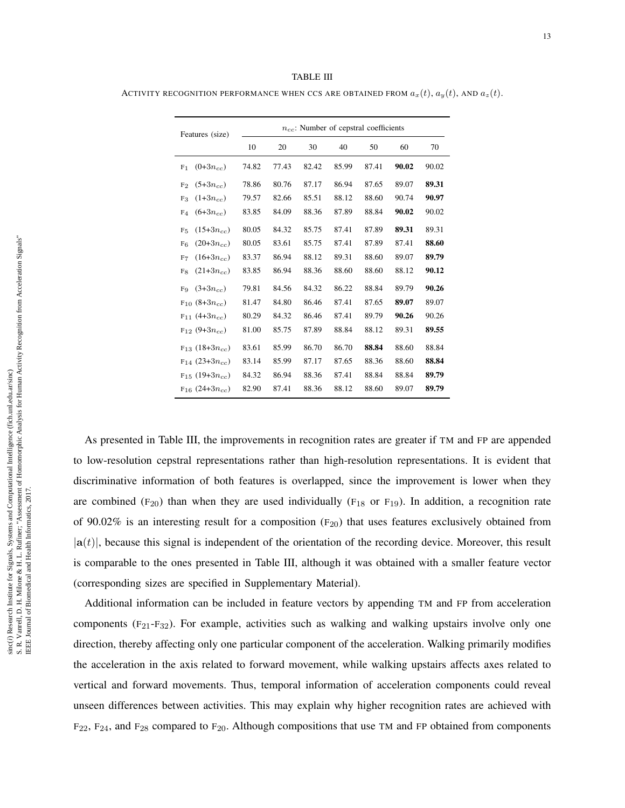TABLE III

ACTIVITY RECOGNITION PERFORMANCE WHEN CCS ARE OBTAINED FROM  $a_x(t)$ ,  $a_y(t)$ , AND  $a_z(t)$ .

| Features (size)                  |       |       | $n_{cc}$ : Number of cepstral coefficients |       |       |       |       |
|----------------------------------|-------|-------|--------------------------------------------|-------|-------|-------|-------|
|                                  | 10    | 20    | 30                                         | 40    | 50    | 60    | 70    |
| $(0+3n_{cc})$<br>F <sub>1</sub>  | 74.82 | 77.43 | 82.42                                      | 85.99 | 87.41 | 90.02 | 90.02 |
| $(5+3n_{cc})$<br>F <sub>2</sub>  | 78.86 | 80.76 | 87.17                                      | 86.94 | 87.65 | 89.07 | 89.31 |
| $(1+3n_{cc})$<br>F <sub>3</sub>  | 79.57 | 82.66 | 85.51                                      | 88.12 | 88.60 | 90.74 | 90.97 |
| $(6+3n_{cc})$<br>F <sub>4</sub>  | 83.85 | 84.09 | 88.36                                      | 87.89 | 88.84 | 90.02 | 90.02 |
| $(15+3n_{cc})$<br>F <sub>5</sub> | 80.05 | 84.32 | 85.75                                      | 87.41 | 87.89 | 89.31 | 89.31 |
| $(20+3n_{cc})$<br>F <sub>6</sub> | 80.05 | 83.61 | 85.75                                      | 87.41 | 87.89 | 87.41 | 88.60 |
| $(16+3n_{cc})$<br>F <sub>7</sub> | 83.37 | 86.94 | 88.12                                      | 89.31 | 88.60 | 89.07 | 89.79 |
| $(21+3n_{cc})$<br>F <sub>8</sub> | 83.85 | 86.94 | 88.36                                      | 88.60 | 88.60 | 88.12 | 90.12 |
| $(3+3n_{cc})$<br>Fq              | 79.81 | 84.56 | 84.32                                      | 86.22 | 88.84 | 89.79 | 90.26 |
| $F_{10}$ (8+3 $n_{cc}$ )         | 81.47 | 84.80 | 86.46                                      | 87.41 | 87.65 | 89.07 | 89.07 |
| $F_{11}$ (4+3 $n_{cc}$ )         | 80.29 | 84.32 | 86.46                                      | 87.41 | 89.79 | 90.26 | 90.26 |
| $F_{12}$ (9+3 $n_{cc}$ )         | 81.00 | 85.75 | 87.89                                      | 88.84 | 88.12 | 89.31 | 89.55 |
| $F_{13}$ (18+3 $n_{cc}$ )        | 83.61 | 85.99 | 86.70                                      | 86.70 | 88.84 | 88.60 | 88.84 |
| $F_{14}$ (23+3 $n_{cc}$ )        | 83.14 | 85.99 | 87.17                                      | 87.65 | 88.36 | 88.60 | 88.84 |
| $F_{15}$ (19+3 $n_{cc}$ )        | 84.32 | 86.94 | 88.36                                      | 87.41 | 88.84 | 88.84 | 89.79 |
| $F_{16}$ (24+3 $n_{cc}$ )        | 82.90 | 87.41 | 88.36                                      | 88.12 | 88.60 | 89.07 | 89.79 |

As presented in Table III, the improvements in recognition rates are greater if TM and FP are appended to low-resolution cepstral representations rather than high-resolution representations. It is evident that discriminative information of both features is overlapped, since the improvement is lower when they are combined ( $F_{20}$ ) than when they are used individually ( $F_{18}$  or  $F_{19}$ ). In addition, a recognition rate of 90.02% is an interesting result for a composition  $(F_{20})$  that uses features exclusively obtained from  $|a(t)|$ , because this signal is independent of the orientation of the recording device. Moreover, this result is comparable to the ones presented in Table III, although it was obtained with a smaller feature vector (corresponding sizes are specified in Supplementary Material).

Additional information can be included in feature vectors by appending TM and FP from acceleration components  $(F_{21}-F_{32})$ . For example, activities such as walking and walking upstairs involve only one direction, thereby affecting only one particular component of the acceleration. Walking primarily modifies the acceleration in the axis related to forward movement, while walking upstairs affects axes related to vertical and forward movements. Thus, temporal information of acceleration components could reveal unseen differences between activities. This may explain why higher recognition rates are achieved with  $F_{22}$ ,  $F_{24}$ , and  $F_{28}$  compared to  $F_{20}$ . Although compositions that use TM and FP obtained from components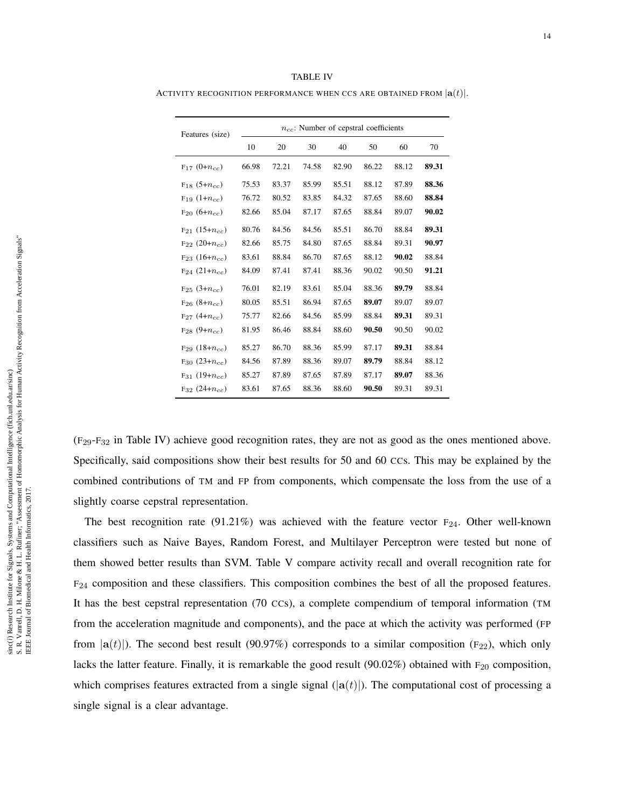| TABLE IV                                                               |  |
|------------------------------------------------------------------------|--|
| ACTIVITY RECOGNITION PERFORMANCE WHEN CCS ARE OBTAINED FROM $ a(t) $ . |  |

| Features (size)          |       |       | $n_{cc}$ : Number of cepstral coefficients |       |       |       |       |
|--------------------------|-------|-------|--------------------------------------------|-------|-------|-------|-------|
|                          | 10    | 20    | 30                                         | 40    | 50    | 60    | 70    |
| $F_{17}$ (0+ $n_{cc}$ )  | 66.98 | 72.21 | 74.58                                      | 82.90 | 86.22 | 88.12 | 89.31 |
| $F_{18}$ (5+ $n_{cc}$ )  | 75.53 | 83.37 | 85.99                                      | 85.51 | 88.12 | 87.89 | 88.36 |
| $F_{19}$ $(1+n_{cc})$    | 76.72 | 80.52 | 83.85                                      | 84.32 | 87.65 | 88.60 | 88.84 |
| $F_{20}$ (6+ $n_{cc}$ )  | 82.66 | 85.04 | 87.17                                      | 87.65 | 88.84 | 89.07 | 90.02 |
| $F_{21}$ (15+ $n_{cc}$ ) | 80.76 | 84.56 | 84.56                                      | 85.51 | 86.70 | 88.84 | 89.31 |
| $F_{22}$ (20+ $n_{cc}$ ) | 82.66 | 85.75 | 84.80                                      | 87.65 | 88.84 | 89.31 | 90.97 |
| $F_{23}$ (16+ $n_{cc}$ ) | 83.61 | 88.84 | 86.70                                      | 87.65 | 88.12 | 90.02 | 88.84 |
| $F_{24}$ (21+ $n_{cc}$ ) | 84.09 | 87.41 | 87.41                                      | 88.36 | 90.02 | 90.50 | 91.21 |
| $F_{25}$ (3+ $n_{cc}$ )  | 76.01 | 82.19 | 83.61                                      | 85.04 | 88.36 | 89.79 | 88.84 |
| $F_{26}$ $(8+n_{cc})$    | 80.05 | 85.51 | 86.94                                      | 87.65 | 89.07 | 89.07 | 89.07 |
| $F_{27}$ (4+ $n_{cc}$ )  | 75.77 | 82.66 | 84.56                                      | 85.99 | 88.84 | 89.31 | 89.31 |
| $F_{28}$ (9+ $n_{cc}$ )  | 81.95 | 86.46 | 88.84                                      | 88.60 | 90.50 | 90.50 | 90.02 |
| $F_{29}$ (18+ $n_{cc}$ ) | 85.27 | 86.70 | 88.36                                      | 85.99 | 87.17 | 89.31 | 88.84 |
| $F_{30}$ (23+ $n_{cc}$ ) | 84.56 | 87.89 | 88.36                                      | 89.07 | 89.79 | 88.84 | 88.12 |
| $F_{31}$ (19+ $n_{cc}$ ) | 85.27 | 87.89 | 87.65                                      | 87.89 | 87.17 | 89.07 | 88.36 |
| $F_{32}$ (24+ $n_{cc}$ ) | 83.61 | 87.65 | 88.36                                      | 88.60 | 90.50 | 89.31 | 89.31 |

(F29-F<sup>32</sup> in Table IV) achieve good recognition rates, they are not as good as the ones mentioned above. Specifically, said compositions show their best results for 50 and 60 CCs. This may be explained by the combined contributions of TM and FP from components, which compensate the loss from the use of a slightly coarse cepstral representation.

The best recognition rate (91.21%) was achieved with the feature vector  $F_{24}$ . Other well-known classifiers such as Naive Bayes, Random Forest, and Multilayer Perceptron were tested but none of them showed better results than SVM. Table V compare activity recall and overall recognition rate for  $F_{24}$  composition and these classifiers. This composition combines the best of all the proposed features. It has the best cepstral representation (70 CCs), a complete compendium of temporal information (TM from the acceleration magnitude and components), and the pace at which the activity was performed (FP from  $|a(t)|$ ). The second best result (90.97%) corresponds to a similar composition (F<sub>22</sub>), which only lacks the latter feature. Finally, it is remarkable the good result  $(90.02\%)$  obtained with F<sub>20</sub> composition, which comprises features extracted from a single signal  $(|a(t)|)$ . The computational cost of processing a single signal is a clear advantage.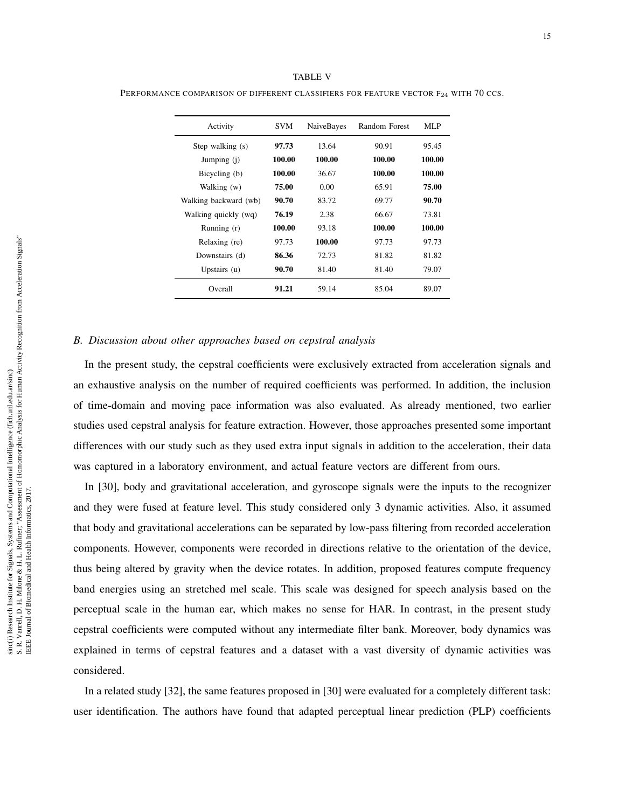| Activity              | <b>SVM</b> | NaiveBayes | Random Forest | MLP    |
|-----------------------|------------|------------|---------------|--------|
| Step walking (s)      | 97.73      | 13.64      | 90.91         | 95.45  |
| Jumping (j)           | 100.00     | 100.00     | 100.00        | 100.00 |
| Bicycling (b)         | 100.00     | 36.67      | 100.00        | 100.00 |
| Walking (w)           | 75.00      | 0.00       | 65.91         | 75.00  |
| Walking backward (wb) | 90.70      | 83.72      | 69.77         | 90.70  |
| Walking quickly (wq)  | 76.19      | 2.38       | 66.67         | 73.81  |
| Running (r)           | 100.00     | 93.18      | 100.00        | 100.00 |
| Relaxing (re)         | 97.73      | 100.00     | 97.73         | 97.73  |
| Downstairs (d)        | 86.36      | 72.73      | 81.82         | 81.82  |
| Upstairs (u)          | 90.70      | 81.40      | 81.40         | 79.07  |
| Overall               | 91.21      | 59.14      | 85.04         | 89.07  |

TABLE V PERFORMANCE COMPARISON OF DIFFERENT CLASSIFIERS FOR FEATURE VECTOR F<sub>24</sub> WITH 70 CCS.

#### *B. Discussion about other approaches based on cepstral analysis*

In the present study, the cepstral coefficients were exclusively extracted from acceleration signals and an exhaustive analysis on the number of required coefficients was performed. In addition, the inclusion of time-domain and moving pace information was also evaluated. As already mentioned, two earlier studies used cepstral analysis for feature extraction. However, those approaches presented some important differences with our study such as they used extra input signals in addition to the acceleration, their data was captured in a laboratory environment, and actual feature vectors are different from ours.

In [30], body and gravitational acceleration, and gyroscope signals were the inputs to the recognizer and they were fused at feature level. This study considered only 3 dynamic activities. Also, it assumed that body and gravitational accelerations can be separated by low-pass filtering from recorded acceleration components. However, components were recorded in directions relative to the orientation of the device, thus being altered by gravity when the device rotates. In addition, proposed features compute frequency band energies using an stretched mel scale. This scale was designed for speech analysis based on the perceptual scale in the human ear, which makes no sense for HAR. In contrast, in the present study cepstral coefficients were computed without any intermediate filter bank. Moreover, body dynamics was explained in terms of cepstral features and a dataset with a vast diversity of dynamic activities was considered.

In a related study [32], the same features proposed in [30] were evaluated for a completely different task: user identification. The authors have found that adapted perceptual linear prediction (PLP) coefficients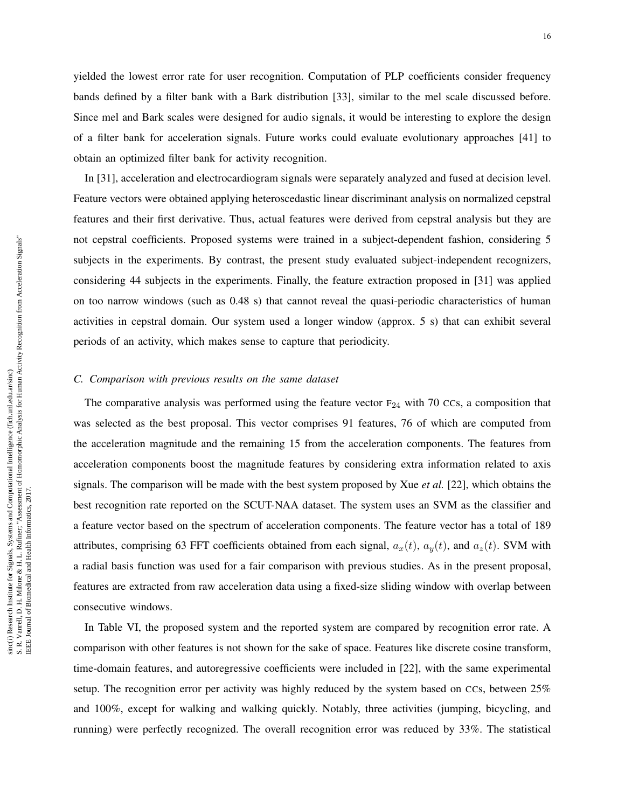yielded the lowest error rate for user recognition. Computation of PLP coefficients consider frequency bands defined by a filter bank with a Bark distribution [33], similar to the mel scale discussed before. Since mel and Bark scales were designed for audio signals, it would be interesting to explore the design of a filter bank for acceleration signals. Future works could evaluate evolutionary approaches [41] to obtain an optimized filter bank for activity recognition.

In [31], acceleration and electrocardiogram signals were separately analyzed and fused at decision level. Feature vectors were obtained applying heteroscedastic linear discriminant analysis on normalized cepstral features and their first derivative. Thus, actual features were derived from cepstral analysis but they are not cepstral coefficients. Proposed systems were trained in a subject-dependent fashion, considering 5 subjects in the experiments. By contrast, the present study evaluated subject-independent recognizers, considering 44 subjects in the experiments. Finally, the feature extraction proposed in [31] was applied on too narrow windows (such as 0.48 s) that cannot reveal the quasi-periodic characteristics of human activities in cepstral domain. Our system used a longer window (approx. 5 s) that can exhibit several periods of an activity, which makes sense to capture that periodicity.

# *C. Comparison with previous results on the same dataset*

The comparative analysis was performed using the feature vector  $F_{24}$  with 70 CCs, a composition that was selected as the best proposal. This vector comprises 91 features, 76 of which are computed from the acceleration magnitude and the remaining 15 from the acceleration components. The features from acceleration components boost the magnitude features by considering extra information related to axis signals. The comparison will be made with the best system proposed by Xue *et al.* [22], which obtains the best recognition rate reported on the SCUT-NAA dataset. The system uses an SVM as the classifier and a feature vector based on the spectrum of acceleration components. The feature vector has a total of 189 attributes, comprising 63 FFT coefficients obtained from each signal,  $a_x(t)$ ,  $a_y(t)$ , and  $a_z(t)$ . SVM with a radial basis function was used for a fair comparison with previous studies. As in the present proposal, features are extracted from raw acceleration data using a fixed-size sliding window with overlap between consecutive windows.

In Table VI, the proposed system and the reported system are compared by recognition error rate. A comparison with other features is not shown for the sake of space. Features like discrete cosine transform, time-domain features, and autoregressive coefficients were included in [22], with the same experimental setup. The recognition error per activity was highly reduced by the system based on CCs, between 25% and 100%, except for walking and walking quickly. Notably, three activities (jumping, bicycling, and running) were perfectly recognized. The overall recognition error was reduced by 33%. The statistical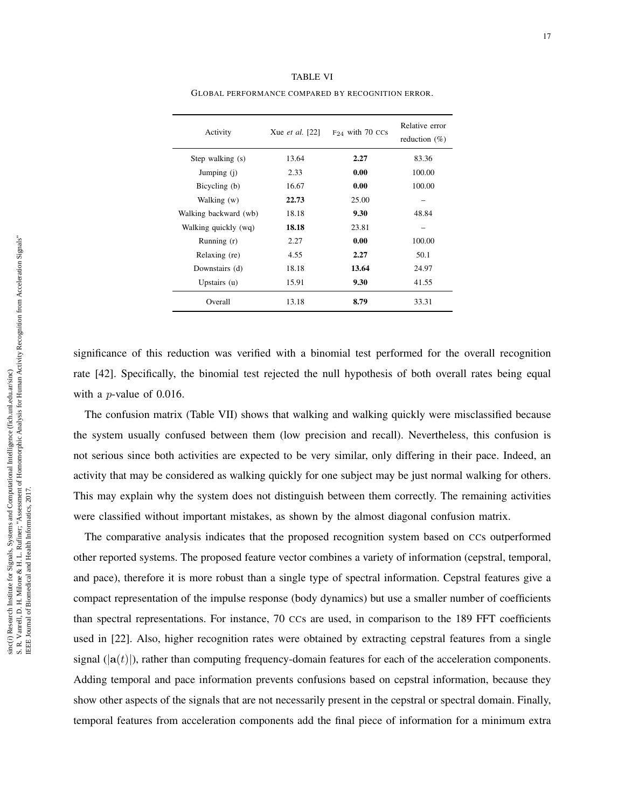| Activity              | Xue <i>et al.</i> [22] | $F_{24}$ with 70 CCs | Relative error<br>reduction $(\%)$ |
|-----------------------|------------------------|----------------------|------------------------------------|
| Step walking (s)      | 13.64                  | 2.27                 | 83.36                              |
| Jumping (j)           | 2.33                   | 0.00                 | 100.00                             |
| Bicycling (b)         | 16.67                  | 0.00                 | 100.00                             |
| Walking (w)           | 22.73                  | 25.00                |                                    |
| Walking backward (wb) | 18.18                  | 9.30                 | 48.84                              |
| Walking quickly (wq)  | 18.18                  | 23.81                |                                    |
| Running (r)           | 2.27                   | 0.00                 | 100.00                             |
| Relaxing (re)         | 4.55                   | 2.27                 | 50.1                               |
| Downstairs (d)        | 18.18                  | 13.64                | 24.97                              |
| Upstairs $(u)$        | 15.91                  | 9.30                 | 41.55                              |
| Overall               | 13.18                  | 8.79                 | 33.31                              |

TABLE VI GLOBAL PERFORMANCE COMPARED BY RECOGNITION ERROR.

significance of this reduction was verified with a binomial test performed for the overall recognition rate [42]. Specifically, the binomial test rejected the null hypothesis of both overall rates being equal with a *p*-value of 0.016.

The confusion matrix (Table VII) shows that walking and walking quickly were misclassified because the system usually confused between them (low precision and recall). Nevertheless, this confusion is not serious since both activities are expected to be very similar, only differing in their pace. Indeed, an activity that may be considered as walking quickly for one subject may be just normal walking for others. This may explain why the system does not distinguish between them correctly. The remaining activities were classified without important mistakes, as shown by the almost diagonal confusion matrix.

The comparative analysis indicates that the proposed recognition system based on CCs outperformed other reported systems. The proposed feature vector combines a variety of information (cepstral, temporal, and pace), therefore it is more robust than a single type of spectral information. Cepstral features give a compact representation of the impulse response (body dynamics) but use a smaller number of coefficients than spectral representations. For instance, 70 CCs are used, in comparison to the 189 FFT coefficients used in [22]. Also, higher recognition rates were obtained by extracting cepstral features from a single signal  $(|a(t)|)$ , rather than computing frequency-domain features for each of the acceleration components. Adding temporal and pace information prevents confusions based on cepstral information, because they show other aspects of the signals that are not necessarily present in the cepstral or spectral domain. Finally, temporal features from acceleration components add the final piece of information for a minimum extra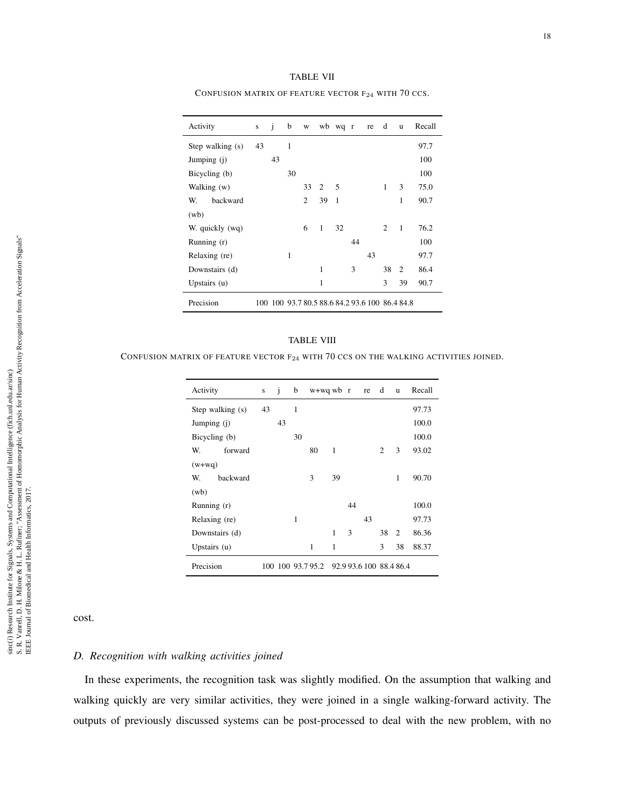| <b>TABLE VII</b> |         |
|------------------|---------|
|                  | $ \sim$ |

| Activity         | ${\bf S}$ | j  | b  | W              |    | wb wq r      |    | re | d            | u                                              | Recall |
|------------------|-----------|----|----|----------------|----|--------------|----|----|--------------|------------------------------------------------|--------|
| Step walking (s) | 43        |    | 1  |                |    |              |    |    |              |                                                | 97.7   |
| Jumping (j)      |           | 43 |    |                |    |              |    |    |              |                                                | 100    |
| Bicycling (b)    |           |    | 30 |                |    |              |    |    |              |                                                | 100    |
| Walking (w)      |           |    |    | 33             | 2  | 5            |    |    | $\mathbf{1}$ | 3                                              | 75.0   |
| backward<br>W.   |           |    |    | $\overline{c}$ | 39 | $\mathbf{1}$ |    |    |              | 1                                              | 90.7   |
| (wb)             |           |    |    |                |    |              |    |    |              |                                                |        |
| W. quickly (wq)  |           |    |    | 6              | 1  | 32           |    |    | 2            | 1                                              | 76.2   |
| Running $(r)$    |           |    |    |                |    |              | 44 |    |              |                                                | 100    |
| Relaxing (re)    |           |    | 1  |                |    |              |    | 43 |              |                                                | 97.7   |
| Downstairs (d)   |           |    |    |                | 1  |              | 3  |    | 38           | $\mathfrak{D}$                                 | 86.4   |
| Upstairs $(u)$   |           |    |    |                | 1  |              |    |    | 3            | 39                                             | 90.7   |
| Precision        |           |    |    |                |    |              |    |    |              | 100 100 93.7 80.5 88.6 84.2 93.6 100 86.4 84.8 |        |

CONFUSION MATRIX OF FEATURE VECTOR F<sub>24</sub> WITH 70 CCS.

#### TABLE VIII

CONFUSION MATRIX OF FEATURE VECTOR F<sup>24</sup> WITH 70 CCS ON THE WALKING ACTIVITIES JOINED.

| Activity         | S  | i  | b  | $w+ wq w b r$    |    |    | re                      | d  | u  | Recall |
|------------------|----|----|----|------------------|----|----|-------------------------|----|----|--------|
| Step walking (s) | 43 |    | 1  |                  |    |    |                         |    |    | 97.73  |
| Jumping (j)      |    | 43 |    |                  |    |    |                         |    |    | 100.0  |
| Bicycling (b)    |    |    | 30 |                  |    |    |                         |    |    | 100.0  |
| W.<br>forward    |    |    |    | 80               | 1  |    |                         | 2  | 3  | 93.02  |
| $(w+ wq)$        |    |    |    |                  |    |    |                         |    |    |        |
| backward<br>W.   |    |    |    | 3                | 39 |    |                         |    | 1  | 90.70  |
| (wb)             |    |    |    |                  |    |    |                         |    |    |        |
| Running (r)      |    |    |    |                  |    | 44 |                         |    |    | 100.0  |
| Relaxing (re)    |    |    | 1  |                  |    |    | 43                      |    |    | 97.73  |
| Downstairs (d)   |    |    |    |                  | 1  | 3  |                         | 38 | 2  | 86.36  |
| Upstairs $(u)$   |    |    |    | 1                | 1  |    |                         | 3  | 38 | 88.37  |
| Precision        |    |    |    | 100 100 93.795.2 |    |    | 92.9 93.6 100 88.4 86.4 |    |    |        |

cost.

# *D. Recognition with walking activities joined*

In these experiments, the recognition task was slightly modified. On the assumption that walking and walking quickly are very similar activities, they were joined in a single walking-forward activity. The outputs of previously discussed systems can be post-processed to deal with the new problem, with no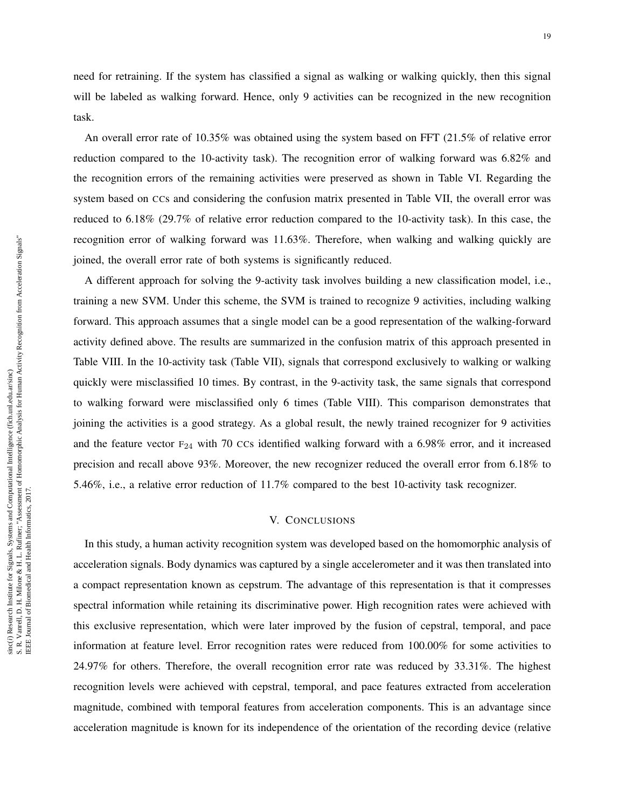need for retraining. If the system has classified a signal as walking or walking quickly, then this signal will be labeled as walking forward. Hence, only 9 activities can be recognized in the new recognition task.

An overall error rate of 10.35% was obtained using the system based on FFT (21.5% of relative error reduction compared to the 10-activity task). The recognition error of walking forward was 6.82% and the recognition errors of the remaining activities were preserved as shown in Table VI. Regarding the system based on CCs and considering the confusion matrix presented in Table VII, the overall error was reduced to 6.18% (29.7% of relative error reduction compared to the 10-activity task). In this case, the recognition error of walking forward was 11.63%. Therefore, when walking and walking quickly are joined, the overall error rate of both systems is significantly reduced.

A different approach for solving the 9-activity task involves building a new classification model, i.e., training a new SVM. Under this scheme, the SVM is trained to recognize 9 activities, including walking forward. This approach assumes that a single model can be a good representation of the walking-forward activity defined above. The results are summarized in the confusion matrix of this approach presented in Table VIII. In the 10-activity task (Table VII), signals that correspond exclusively to walking or walking quickly were misclassified 10 times. By contrast, in the 9-activity task, the same signals that correspond to walking forward were misclassified only 6 times (Table VIII). This comparison demonstrates that joining the activities is a good strategy. As a global result, the newly trained recognizer for 9 activities and the feature vector  $F_{24}$  with 70 CCs identified walking forward with a 6.98% error, and it increased precision and recall above 93%. Moreover, the new recognizer reduced the overall error from 6.18% to 5.46%, i.e., a relative error reduction of 11.7% compared to the best 10-activity task recognizer.

#### V. CONCLUSIONS

In this study, a human activity recognition system was developed based on the homomorphic analysis of acceleration signals. Body dynamics was captured by a single accelerometer and it was then translated into a compact representation known as cepstrum. The advantage of this representation is that it compresses spectral information while retaining its discriminative power. High recognition rates were achieved with this exclusive representation, which were later improved by the fusion of cepstral, temporal, and pace information at feature level. Error recognition rates were reduced from 100.00% for some activities to 24.97% for others. Therefore, the overall recognition error rate was reduced by 33.31%. The highest recognition levels were achieved with cepstral, temporal, and pace features extracted from acceleration magnitude, combined with temporal features from acceleration components. This is an advantage since acceleration magnitude is known for its independence of the orientation of the recording device (relative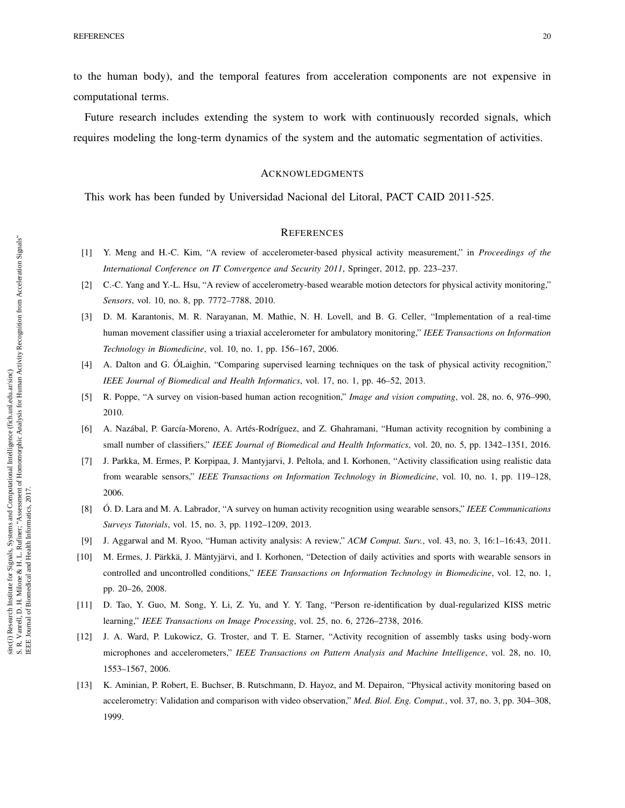to the human body), and the temporal features from acceleration components are not expensive in computational terms.

Future research includes extending the system to work with continuously recorded signals, which requires modeling the long-term dynamics of the system and the automatic segmentation of activities.

#### ACKNOWLEDGMENTS

This work has been funded by Universidad Nacional del Litoral, PACT CAID 2011-525.

#### **REFERENCES**

- [1] Y. Meng and H.-C. Kim, "A review of accelerometer-based physical activity measurement," in *Proceedings of the International Conference on IT Convergence and Security 2011*, Springer, 2012, pp. 223–237.
- [2] C.-C. Yang and Y.-L. Hsu, "A review of accelerometry-based wearable motion detectors for physical activity monitoring," *Sensors*, vol. 10, no. 8, pp. 7772–7788, 2010.
- [3] D. M. Karantonis, M. R. Narayanan, M. Mathie, N. H. Lovell, and B. G. Celler, "Implementation of a real-time human movement classifier using a triaxial accelerometer for ambulatory monitoring," *IEEE Transactions on Information Technology in Biomedicine*, vol. 10, no. 1, pp. 156–167, 2006.
- [4] A. Dalton and G. ÓLaighin, "Comparing supervised learning techniques on the task of physical activity recognition," *IEEE Journal of Biomedical and Health Informatics*, vol. 17, no. 1, pp. 46–52, 2013.
- [5] R. Poppe, "A survey on vision-based human action recognition," *Image and vision computing*, vol. 28, no. 6, 976–990, 2010.
- [6] A. Nazábal, P. García-Moreno, A. Artés-Rodríguez, and Z. Ghahramani, "Human activity recognition by combining a small number of classifiers," *IEEE Journal of Biomedical and Health Informatics*, vol. 20, no. 5, pp. 1342–1351, 2016.
- [7] J. Parkka, M. Ermes, P. Korpipaa, J. Mantyjarvi, J. Peltola, and I. Korhonen, "Activity classification using realistic data from wearable sensors," *IEEE Transactions on Information Technology in Biomedicine*, vol. 10, no. 1, pp. 119–128, 2006.
- [8] Ó. D. Lara and M. A. Labrador, "A survey on human activity recognition using wearable sensors," *IEEE Communications Surveys Tutorials*, vol. 15, no. 3, pp. 1192–1209, 2013.
- [9] J. Aggarwal and M. Ryoo, "Human activity analysis: A review," *ACM Comput. Surv.*, vol. 43, no. 3, 16:1–16:43, 2011.
- [10] M. Ermes, J. Pärkkä, J. Mäntyjärvi, and I. Korhonen, "Detection of daily activities and sports with wearable sensors in controlled and uncontrolled conditions," *IEEE Transactions on Information Technology in Biomedicine*, vol. 12, no. 1, pp. 20–26, 2008.
- [11] D. Tao, Y. Guo, M. Song, Y. Li, Z. Yu, and Y. Y. Tang, "Person re-identification by dual-regularized KISS metric learning," *IEEE Transactions on Image Processing*, vol. 25, no. 6, 2726–2738, 2016.
- [12] J. A. Ward, P. Lukowicz, G. Troster, and T. E. Starner, "Activity recognition of assembly tasks using body-worn microphones and accelerometers," *IEEE Transactions on Pattern Analysis and Machine Intelligence*, vol. 28, no. 10, 1553–1567, 2006.
- [13] K. Aminian, P. Robert, E. Buchser, B. Rutschmann, D. Hayoz, and M. Depairon, "Physical activity monitoring based on accelerometry: Validation and comparison with video observation," *Med. Biol. Eng. Comput.*, vol. 37, no. 3, pp. 304–308, 1999.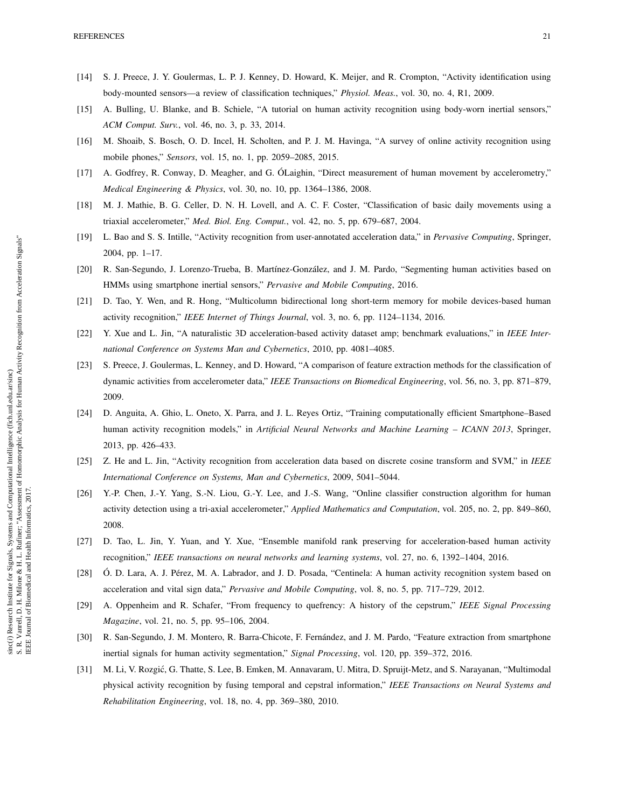- [14] S. J. Preece, J. Y. Goulermas, L. P. J. Kenney, D. Howard, K. Meijer, and R. Crompton, "Activity identification using body-mounted sensors—a review of classification techniques," *Physiol. Meas.*, vol. 30, no. 4, R1, 2009.
- [15] A. Bulling, U. Blanke, and B. Schiele, "A tutorial on human activity recognition using body-worn inertial sensors," *ACM Comput. Surv.*, vol. 46, no. 3, p. 33, 2014.
- [16] M. Shoaib, S. Bosch, O. D. Incel, H. Scholten, and P. J. M. Havinga, "A survey of online activity recognition using mobile phones," *Sensors*, vol. 15, no. 1, pp. 2059–2085, 2015.
- [17] A. Godfrey, R. Conway, D. Meagher, and G. ÓLaighin, "Direct measurement of human movement by accelerometry," *Medical Engineering & Physics*, vol. 30, no. 10, pp. 1364–1386, 2008.
- [18] M. J. Mathie, B. G. Celler, D. N. H. Lovell, and A. C. F. Coster, "Classification of basic daily movements using a triaxial accelerometer," *Med. Biol. Eng. Comput.*, vol. 42, no. 5, pp. 679–687, 2004.
- [19] L. Bao and S. S. Intille, "Activity recognition from user-annotated acceleration data," in *Pervasive Computing*, Springer, 2004, pp. 1–17.
- [20] R. San-Segundo, J. Lorenzo-Trueba, B. Martínez-González, and J. M. Pardo, "Segmenting human activities based on HMMs using smartphone inertial sensors," *Pervasive and Mobile Computing*, 2016.
- [21] D. Tao, Y. Wen, and R. Hong, "Multicolumn bidirectional long short-term memory for mobile devices-based human activity recognition," *IEEE Internet of Things Journal*, vol. 3, no. 6, pp. 1124–1134, 2016.
- [22] Y. Xue and L. Jin, "A naturalistic 3D acceleration-based activity dataset amp; benchmark evaluations," in *IEEE International Conference on Systems Man and Cybernetics*, 2010, pp. 4081–4085.
- [23] S. Preece, J. Goulermas, L. Kenney, and D. Howard, "A comparison of feature extraction methods for the classification of dynamic activities from accelerometer data," *IEEE Transactions on Biomedical Engineering*, vol. 56, no. 3, pp. 871–879, 2009.
- [24] D. Anguita, A. Ghio, L. Oneto, X. Parra, and J. L. Reyes Ortiz, "Training computationally efficient Smartphone–Based human activity recognition models," in *Artificial Neural Networks and Machine Learning – ICANN 2013*, Springer, 2013, pp. 426–433.
- [25] Z. He and L. Jin, "Activity recognition from acceleration data based on discrete cosine transform and SVM," in *IEEE International Conference on Systems, Man and Cybernetics*, 2009, 5041–5044.
- [26] Y.-P. Chen, J.-Y. Yang, S.-N. Liou, G.-Y. Lee, and J.-S. Wang, "Online classifier construction algorithm for human activity detection using a tri-axial accelerometer," *Applied Mathematics and Computation*, vol. 205, no. 2, pp. 849–860, 2008.
- [27] D. Tao, L. Jin, Y. Yuan, and Y. Xue, "Ensemble manifold rank preserving for acceleration-based human activity recognition," *IEEE transactions on neural networks and learning systems*, vol. 27, no. 6, 1392–1404, 2016.
- [28] Ó. D. Lara, A. J. Pérez, M. A. Labrador, and J. D. Posada, "Centinela: A human activity recognition system based on acceleration and vital sign data," *Pervasive and Mobile Computing*, vol. 8, no. 5, pp. 717–729, 2012.
- [29] A. Oppenheim and R. Schafer, "From frequency to quefrency: A history of the cepstrum," *IEEE Signal Processing Magazine*, vol. 21, no. 5, pp. 95–106, 2004.
- [30] R. San-Segundo, J. M. Montero, R. Barra-Chicote, F. Fernández, and J. M. Pardo, "Feature extraction from smartphone inertial signals for human activity segmentation," *Signal Processing*, vol. 120, pp. 359–372, 2016.
- [31] M. Li, V. Rozgić, G. Thatte, S. Lee, B. Emken, M. Annavaram, U. Mitra, D. Spruijt-Metz, and S. Narayanan, "Multimodal physical activity recognition by fusing temporal and cepstral information," *IEEE Transactions on Neural Systems and Rehabilitation Engineering*, vol. 18, no. 4, pp. 369–380, 2010.